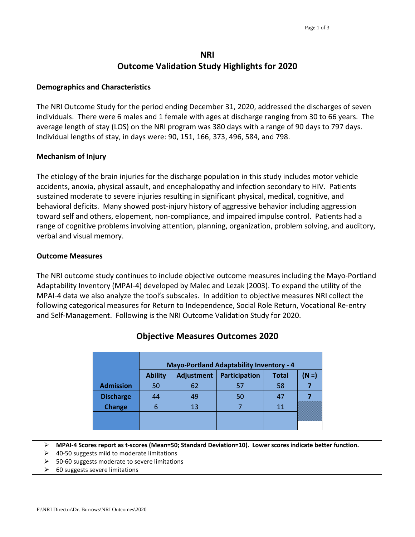# **NRI Outcome Validation Study Highlights for 2020**

#### **Demographics and Characteristics**

The NRI Outcome Study for the period ending December 31, 2020, addressed the discharges of seven individuals. There were 6 males and 1 female with ages at discharge ranging from 30 to 66 years. The average length of stay (LOS) on the NRI program was 380 days with a range of 90 days to 797 days. Individual lengths of stay, in days were: 90, 151, 166, 373, 496, 584, and 798.

#### **Mechanism of Injury**

The etiology of the brain injuries for the discharge population in this study includes motor vehicle accidents, anoxia, physical assault, and encephalopathy and infection secondary to HIV. Patients sustained moderate to severe injuries resulting in significant physical, medical, cognitive, and behavioral deficits. Many showed post-injury history of aggressive behavior including aggression toward self and others, elopement, non-compliance, and impaired impulse control. Patients had a range of cognitive problems involving attention, planning, organization, problem solving, and auditory, verbal and visual memory.

#### **Outcome Measures**

The NRI outcome study continues to include objective outcome measures including the Mayo-Portland Adaptability Inventory (MPAI-4) developed by Malec and Lezak (2003). To expand the utility of the MPAI-4 data we also analyze the tool's subscales. In addition to objective measures NRI collect the following categorical measures for Return to Independence, Social Role Return, Vocational Re-entry and Self-Management. Following is the NRI Outcome Validation Study for 2020.

| <b>Ability</b> | <b>Adjustment</b> | Participation | <b>Total</b> | N =)                                            |
|----------------|-------------------|---------------|--------------|-------------------------------------------------|
| 50             | 62                | 57            | 58           |                                                 |
| 44             | 49                | 50            |              |                                                 |
|                | 13                |               | 11           |                                                 |
|                |                   |               |              |                                                 |
|                |                   |               |              | <b>Mayo-Portland Adaptability Inventory - 4</b> |

### **Objective Measures Outcomes 2020**

**MPAI-4 Scores report as t-scores (Mean=50; Standard Deviation=10). Lower scores indicate better function.** 

- $\geq$  40-50 suggests mild to moderate limitations
- 50-60 suggests moderate to severe limitations
- 60 suggests severe limitations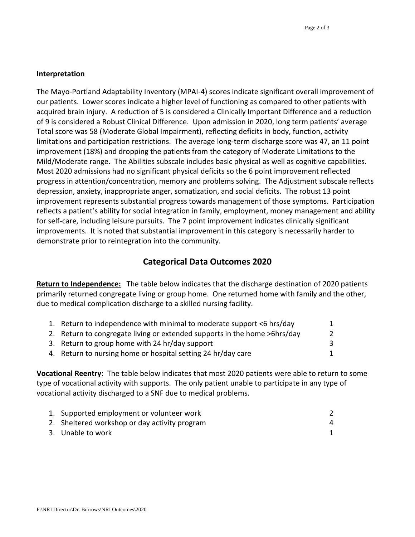#### **Interpretation**

The Mayo-Portland Adaptability Inventory (MPAI-4) scores indicate significant overall improvement of our patients. Lower scores indicate a higher level of functioning as compared to other patients with acquired brain injury. A reduction of 5 is considered a Clinically Important Difference and a reduction of 9 is considered a Robust Clinical Difference. Upon admission in 2020, long term patients' average Total score was 58 (Moderate Global Impairment), reflecting deficits in body, function, activity limitations and participation restrictions. The average long-term discharge score was 47, an 11 point improvement (18%) and dropping the patients from the category of Moderate Limitations to the Mild/Moderate range. The Abilities subscale includes basic physical as well as cognitive capabilities. Most 2020 admissions had no significant physical deficits so the 6 point improvement reflected progress in attention/concentration, memory and problems solving. The Adjustment subscale reflects depression, anxiety, inappropriate anger, somatization, and social deficits. The robust 13 point improvement represents substantial progress towards management of those symptoms. Participation reflects a patient's ability for social integration in family, employment, money management and ability for self-care, including leisure pursuits. The 7 point improvement indicates clinically significant improvements. It is noted that substantial improvement in this category is necessarily harder to demonstrate prior to reintegration into the community.

## **Categorical Data Outcomes 2020**

**Return to Independence:** The table below indicates that the discharge destination of 2020 patients primarily returned congregate living or group home. One returned home with family and the other, due to medical complication discharge to a skilled nursing facility.

| 1. Return to independence with minimal to moderate support <6 hrs/day     |  |
|---------------------------------------------------------------------------|--|
| 2. Return to congregate living or extended supports in the home >6hrs/day |  |
| 3. Return to group home with 24 hr/day support                            |  |
| 4. Return to nursing home or hospital setting 24 hr/day care              |  |

**Vocational Reentry**: The table below indicates that most 2020 patients were able to return to some type of vocational activity with supports. The only patient unable to participate in any type of vocational activity discharged to a SNF due to medical problems.

| 1. Supported employment or volunteer work     |   |
|-----------------------------------------------|---|
| 2. Sheltered workshop or day activity program | 4 |
| 3. Unable to work                             |   |